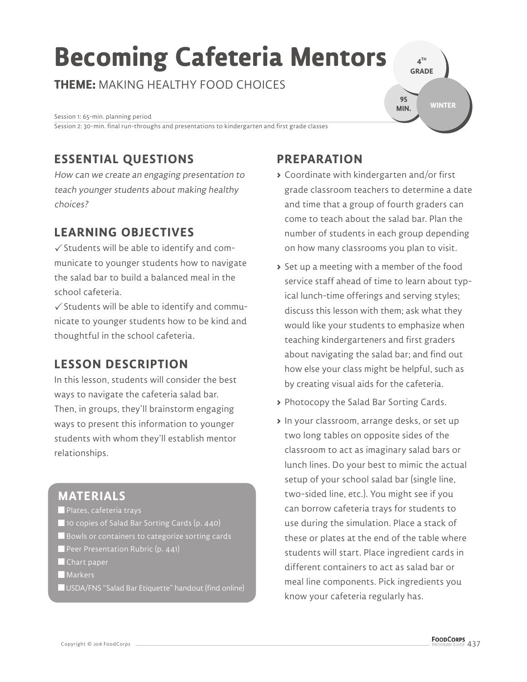# **Becoming Cafeteria Mentors**

**THEME:** MAKING HEALTHY FOOD CHOICES

Session 1: 65-min. planning period Session 2: 30-min. final run-throughs and presentations to kindergarten and first grade classes

# **ESSENTIAL QUESTIONS**

How can we create an engaging presentation to teach younger students about making healthy choices?

# **LEARNING OBJECTIVES**

 $\checkmark$  Students will be able to identify and communicate to younger students how to navigate the salad bar to build a balanced meal in the school cafeteria.

 $\checkmark$  Students will be able to identify and communicate to younger students how to be kind and thoughtful in the school cafeteria.

## **LESSON DESCRIPTION**

In this lesson, students will consider the best ways to navigate the cafeteria salad bar. Then, in groups, they'll brainstorm engaging ways to present this information to younger students with whom they'll establish mentor relationships.

#### **MATERIALS**

- **Plates, cafeteria trays**
- 10 copies of Salad Bar Sorting Cards (p. 440)
- Bowls or containers to categorize sorting cards
- Peer Presentation Rubric (p. 441)
- Chart paper
- **Markers**
- USDA/FNS "Salad Bar Etiquette" handout (find online)

# **PREPARATION**

**>** Coordinate with kindergarten and/or first grade classroom teachers to determine a date and time that a group of fourth graders can come to teach about the salad bar. Plan the number of students in each group depending on how many classrooms you plan to visit.

**4 TH GRADE** 

**95 MIN.**

**WINTER**

- **>** Set up a meeting with a member of the food service staff ahead of time to learn about typical lunch-time offerings and serving styles; discuss this lesson with them; ask what they would like your students to emphasize when teaching kindergarteners and first graders about navigating the salad bar; and find out how else your class might be helpful, such as by creating visual aids for the cafeteria.
- **>** Photocopy the Salad Bar Sorting Cards.
- **>** In your classroom, arrange desks, or set up two long tables on opposite sides of the classroom to act as imaginary salad bars or lunch lines. Do your best to mimic the actual setup of your school salad bar (single line, two-sided line, etc.). You might see if you can borrow cafeteria trays for students to use during the simulation. Place a stack of these or plates at the end of the table where students will start. Place ingredient cards in different containers to act as salad bar or meal line components. Pick ingredients you know your cafeteria regularly has.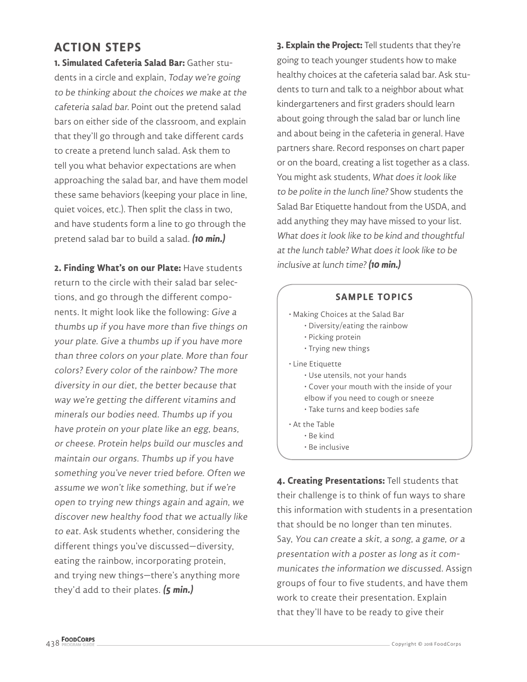### **ACTION STEPS**

**1. Simulated Cafeteria Salad Bar:** Gather students in a circle and explain, Today we're going to be thinking about the choices we make at the cafeteria salad bar. Point out the pretend salad bars on either side of the classroom, and explain that they'll go through and take different cards to create a pretend lunch salad. Ask them to tell you what behavior expectations are when approaching the salad bar, and have them model these same behaviors (keeping your place in line, quiet voices, etc.). Then split the class in two, and have students form a line to go through the pretend salad bar to build a salad. **(10 min.)**

**2. Finding What's on our Plate:** Have students return to the circle with their salad bar selections, and go through the different components. It might look like the following: Give a thumbs up if you have more than five things on your plate. Give a thumbs up if you have more than three colors on your plate. More than four colors? Every color of the rainbow? The more diversity in our diet, the better because that way we're getting the different vitamins and minerals our bodies need. Thumbs up if you have protein on your plate like an egg, beans, or cheese. Protein helps build our muscles and maintain our organs. Thumbs up if you have something you've never tried before. Often we assume we won't like something, but if we're open to trying new things again and again, we discover new healthy food that we actually like to eat. Ask students whether, considering the different things you've discussed—diversity, eating the rainbow, incorporating protein, and trying new things—there's anything more they'd add to their plates. **(5 min.)**

**3. Explain the Project:** Tell students that they're going to teach younger students how to make healthy choices at the cafeteria salad bar. Ask students to turn and talk to a neighbor about what kindergarteners and first graders should learn about going through the salad bar or lunch line and about being in the cafeteria in general. Have partners share. Record responses on chart paper or on the board, creating a list together as a class. You might ask students, What does it look like to be polite in the lunch line? Show students the Salad Bar Etiquette handout from the USDA, and add anything they may have missed to your list. What does it look like to be kind and thoughtful at the lunch table? What does it look like to be inclusive at lunch time?**(10 min.)**

| <b>SAMPLE TOPICS</b>                                                                                                                                                                      |
|-------------------------------------------------------------------------------------------------------------------------------------------------------------------------------------------|
| $\cdot$ Making Choices at the Salad Bar<br>• Diversity/eating the rainbow<br>• Picking protein<br>• Trying new things                                                                     |
| • Line Etiquette<br>$\cdot$ Use utensils, not your hands<br>• Cover your mouth with the inside of your<br>elbow if you need to cough or sneeze<br>$\cdot$ Take turns and keep bodies safe |
| • At the Table<br>• Be kind<br>· Be inclusive                                                                                                                                             |

**4. Creating Presentations:** Tell students that their challenge is to think of fun ways to share this information with students in a presentation that should be no longer than ten minutes. Say, You can create a skit, a song, a game, or a presentation with a poster as long as it communicates the information we discussed. Assign groups of four to five students, and have them work to create their presentation. Explain that they'll have to be ready to give their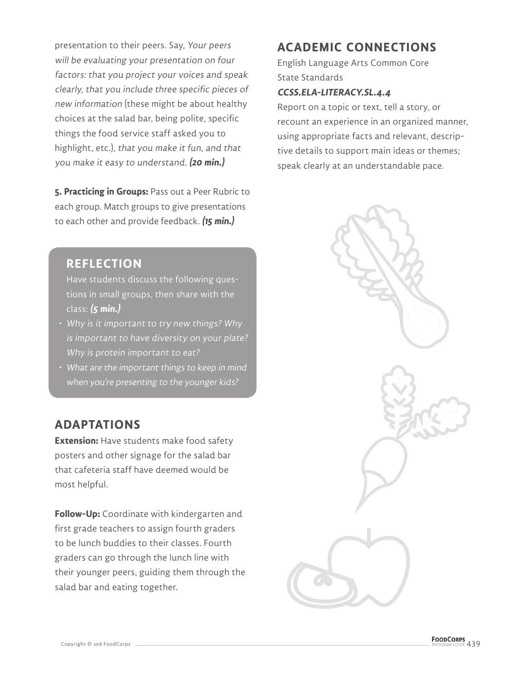presentation to their peers. Say, Your peers will be evaluating your presentation on four factors: that you project your voices and speak clearly, that you include three specific pieces of new information (these might be about healthy choices at the salad bar, being polite, specific things the food service staff asked you to highlight, etc.), that you make it fun, and that you make it easy to understand. **(20 min.)**

**5. Practicing in Groups:** Pass out a Peer Rubric to each group. Match groups to give presentations to each other and provide feedback. **(15 min.)**

#### **REFLECTION**

Have students discuss the following questions in small groups, then share with the class: **(5 min.)**

- Why is it important to try new things? Why is important to have diversity on your plate? Why is protein important to eat?
- What are the important things to keep in mind when you're presenting to the younger kids?

#### **ADAPTATIONS**

**Extension:** Have students make food safety posters and other signage for the salad bar that cafeteria staff have deemed would be most helpful.

**Follow-Up:** Coordinate with kindergarten and first grade teachers to assign fourth graders to be lunch buddies to their classes. Fourth graders can go through the lunch line with their younger peers, guiding them through the salad bar and eating together.

## **ACADEMIC CONNECTIONS**

English Language Arts Common Core State Standards

#### **CCSS.ELA-LITERACY.SL.4.4**

Report on a topic or text, tell a story, or recount an experience in an organized manner, using appropriate facts and relevant, descriptive details to support main ideas or themes; speak clearly at an understandable pace.

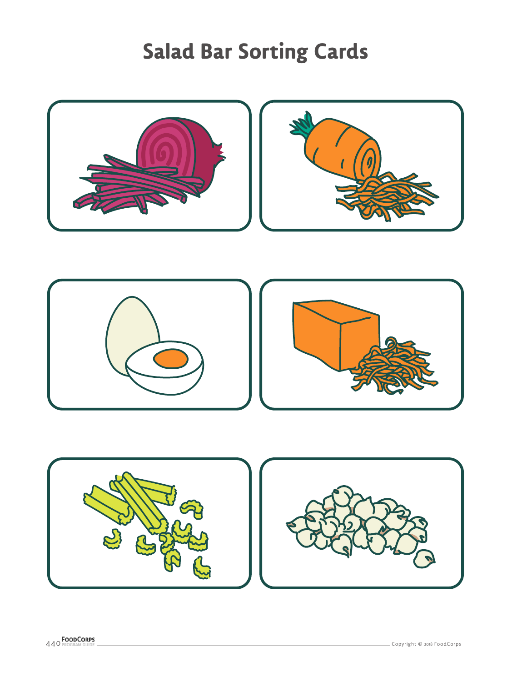# **Salad Bar Sorting Cards**